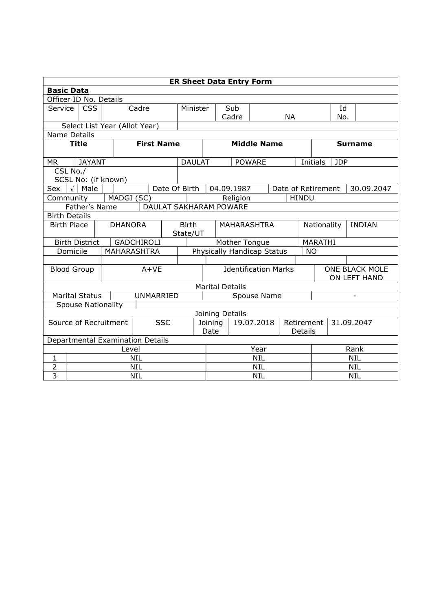|                         | <b>ER Sheet Data Entry Form</b>  |                           |                               |                   |                               |                                   |            |                               |                    |               |                       |                                |                                  |               |  |
|-------------------------|----------------------------------|---------------------------|-------------------------------|-------------------|-------------------------------|-----------------------------------|------------|-------------------------------|--------------------|---------------|-----------------------|--------------------------------|----------------------------------|---------------|--|
|                         | <b>Basic Data</b>                |                           |                               |                   |                               |                                   |            |                               |                    |               |                       |                                |                                  |               |  |
|                         |                                  | Officer ID No. Details    |                               |                   |                               |                                   |            |                               |                    |               |                       |                                |                                  |               |  |
| <b>Service</b>          | <b>CSS</b><br>Cadre              |                           |                               |                   | Minister                      |                                   | Sub        |                               |                    |               |                       | 1q                             |                                  |               |  |
|                         |                                  |                           |                               |                   |                               |                                   |            |                               | Cadre              |               |                       | <b>NA</b>                      | No.                              |               |  |
|                         |                                  |                           | Select List Year (Allot Year) |                   |                               |                                   |            |                               |                    |               |                       |                                |                                  |               |  |
| Name Details            |                                  |                           |                               |                   |                               |                                   |            |                               |                    |               |                       |                                |                                  |               |  |
|                         | <b>Title</b>                     |                           |                               | <b>First Name</b> |                               |                                   |            | <b>Middle Name</b>            |                    |               |                       | <b>Surname</b>                 |                                  |               |  |
| <b>MR</b>               |                                  | <b>JAYANT</b>             |                               |                   |                               | <b>DAULAT</b>                     |            |                               |                    | <b>POWARE</b> |                       |                                | Initials                         | <b>JDP</b>    |  |
|                         | CSL No./                         |                           |                               |                   |                               |                                   |            |                               |                    |               |                       |                                |                                  |               |  |
|                         |                                  |                           | SCSL No: (if known)           |                   |                               |                                   |            |                               |                    |               |                       |                                |                                  |               |  |
| Sex                     | $\sqrt{ }$                       | Male                      |                               |                   | Date Of Birth                 |                                   |            |                               | 04.09.1987         |               |                       |                                | Date of Retirement<br>30.09.2047 |               |  |
|                         | MADGI (SC)<br>Community          |                           |                               |                   |                               |                                   |            | Religion                      |                    |               | <b>HINDU</b>          |                                |                                  |               |  |
|                         |                                  | Father's Name             |                               |                   | <b>DAULAT SAKHARAM POWARE</b> |                                   |            |                               |                    |               |                       |                                |                                  |               |  |
| <b>Birth Details</b>    |                                  |                           |                               |                   |                               |                                   |            |                               |                    |               |                       |                                |                                  |               |  |
| <b>Birth Place</b>      |                                  |                           |                               | <b>DHANORA</b>    |                               | <b>Birth</b><br>State/UT          |            |                               | <b>MAHARASHTRA</b> |               |                       | Nationality                    |                                  | <b>INDIAN</b> |  |
|                         |                                  | <b>Birth District</b>     |                               | <b>GADCHIROLI</b> |                               | Mother Tongue                     |            |                               |                    |               |                       | <b>MARATHI</b>                 |                                  |               |  |
| Domicile<br>MAHARASHTRA |                                  |                           |                               |                   |                               | Physically Handicap Status<br>NO. |            |                               |                    |               |                       |                                |                                  |               |  |
|                         |                                  |                           |                               |                   |                               |                                   |            |                               |                    |               |                       |                                |                                  |               |  |
| <b>Blood Group</b>      |                                  |                           |                               |                   | $A+VE$                        |                                   |            | <b>Identification Marks</b>   |                    |               |                       | ONE BLACK MOLE<br>ON LEFT HAND |                                  |               |  |
|                         |                                  |                           |                               |                   |                               |                                   |            | <b>Marital Details</b>        |                    |               |                       |                                |                                  |               |  |
|                         |                                  | <b>Marital Status</b>     |                               | <b>UNMARRIED</b>  |                               |                                   |            | Spouse Name                   |                    |               |                       |                                |                                  |               |  |
|                         |                                  | <b>Spouse Nationality</b> |                               |                   |                               |                                   |            |                               |                    |               |                       |                                |                                  |               |  |
| Joining Details         |                                  |                           |                               |                   |                               |                                   |            |                               |                    |               |                       |                                |                                  |               |  |
| Source of Recruitment   |                                  |                           |                               |                   | <b>SSC</b>                    |                                   |            | 19.07.2018<br>Joining<br>Date |                    |               | Retirement<br>Details |                                | 31.09.2047                       |               |  |
|                         | Departmental Examination Details |                           |                               |                   |                               |                                   |            |                               |                    |               |                       |                                |                                  |               |  |
| Level                   |                                  |                           |                               |                   |                               | Year                              |            |                               |                    |               | Rank                  |                                |                                  |               |  |
| 1                       | NIL                              |                           |                               |                   |                               |                                   | <b>NIL</b> |                               |                    |               |                       | <b>NIL</b>                     |                                  |               |  |
| 2                       | <b>NIL</b>                       |                           |                               |                   |                               |                                   | <b>NIL</b> |                               |                    |               | <b>NIL</b>            |                                |                                  |               |  |
| $\overline{3}$          | NIL                              |                           |                               |                   |                               |                                   |            | <b>NIL</b>                    |                    |               |                       | <b>NIL</b>                     |                                  |               |  |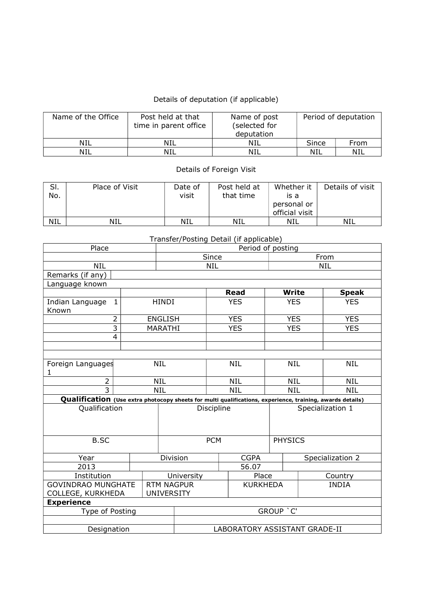## Details of deputation (if applicable)

| Name of the Office | Post held at that<br>time in parent office | Name of post<br>(selected for<br>deputation | Period of deputation |      |  |
|--------------------|--------------------------------------------|---------------------------------------------|----------------------|------|--|
| NIL                | NIL                                        | NIL                                         | Since                | From |  |
| NIL                | NIL                                        | NIL                                         | NIL                  | NIL  |  |

## Details of Foreign Visit

| SI.<br>No. | Place of Visit | Date of<br>visit | Post held at<br>that time | Whether it<br>is a<br>personal or<br>official visit | Details of visit |
|------------|----------------|------------------|---------------------------|-----------------------------------------------------|------------------|
| <b>NIL</b> | NIL            | <b>NIL</b>       | NIL                       | NIL                                                 | NIL              |

## Transfer/Posting Detail (if applicable)

| Place                                                                                                     |                               | Period of posting                      |           |            |                 |                  |            |              |  |
|-----------------------------------------------------------------------------------------------------------|-------------------------------|----------------------------------------|-----------|------------|-----------------|------------------|------------|--------------|--|
|                                                                                                           | Since                         |                                        |           |            |                 | From             |            |              |  |
| <b>NIL</b>                                                                                                |                               | <b>NIL</b><br><b>NIL</b>               |           |            |                 |                  |            |              |  |
| Remarks (if any)                                                                                          |                               |                                        |           |            |                 |                  |            |              |  |
| Language known                                                                                            |                               |                                        |           |            |                 |                  |            |              |  |
|                                                                                                           |                               |                                        |           |            | <b>Read</b>     | Write            |            | <b>Speak</b> |  |
| Indian Language<br>$\mathbf{1}$                                                                           |                               | <b>HINDI</b>                           |           | <b>YES</b> |                 | <b>YES</b>       |            | <b>YES</b>   |  |
| Known                                                                                                     |                               |                                        |           |            |                 |                  |            |              |  |
| $\overline{2}$                                                                                            |                               | <b>ENGLISH</b>                         |           |            | <b>YES</b>      | <b>YES</b>       |            | <b>YES</b>   |  |
| $\overline{\mathbf{3}}$                                                                                   |                               | MARATHI                                |           |            | <b>YES</b>      | <b>YES</b>       |            | <b>YES</b>   |  |
| 4                                                                                                         |                               |                                        |           |            |                 |                  |            |              |  |
|                                                                                                           |                               |                                        |           |            |                 |                  |            |              |  |
|                                                                                                           |                               |                                        |           |            |                 |                  |            |              |  |
| Foreign Languages                                                                                         |                               | <b>NIL</b>                             |           |            | <b>NIL</b>      |                  | <b>NIL</b> | <b>NIL</b>   |  |
| 1                                                                                                         |                               |                                        |           |            |                 |                  |            |              |  |
| $\overline{2}$                                                                                            |                               | <b>NIL</b>                             |           |            | <b>NIL</b>      | <b>NIL</b>       |            | <b>NIL</b>   |  |
| $\overline{3}$                                                                                            |                               | <b>NIL</b>                             |           | <b>NIL</b> |                 | <b>NIL</b>       |            | <b>NIL</b>   |  |
| Qualification (Use extra photocopy sheets for multi qualifications, experience, training, awards details) |                               |                                        |           |            |                 |                  |            |              |  |
| <b>Qualification</b>                                                                                      |                               |                                        |           | Discipline |                 | Specialization 1 |            |              |  |
|                                                                                                           |                               |                                        |           |            |                 |                  |            |              |  |
|                                                                                                           |                               |                                        |           |            |                 |                  |            |              |  |
| <b>B.SC</b>                                                                                               |                               |                                        |           |            | <b>PHYSICS</b>  |                  |            |              |  |
|                                                                                                           |                               |                                        |           | <b>PCM</b> |                 |                  |            |              |  |
| Year                                                                                                      |                               | Division                               |           |            | <b>CGPA</b>     |                  |            |              |  |
| 2013                                                                                                      |                               |                                        |           | 56.07      |                 | Specialization 2 |            |              |  |
| Institution                                                                                               |                               | University                             |           |            | Place           |                  |            | Country      |  |
| <b>GOVINDRAO MUNGHATE</b>                                                                                 |                               |                                        |           |            | <b>KURKHEDA</b> |                  |            | <b>INDIA</b> |  |
| COLLEGE, KURKHEDA                                                                                         |                               | <b>RTM NAGPUR</b><br><b>UNIVERSITY</b> |           |            |                 |                  |            |              |  |
| <b>Experience</b>                                                                                         |                               |                                        |           |            |                 |                  |            |              |  |
| Type of Posting                                                                                           |                               |                                        | GROUP 'C' |            |                 |                  |            |              |  |
|                                                                                                           |                               |                                        |           |            |                 |                  |            |              |  |
| Designation                                                                                               | LABORATORY ASSISTANT GRADE-II |                                        |           |            |                 |                  |            |              |  |
|                                                                                                           |                               |                                        |           |            |                 |                  |            |              |  |